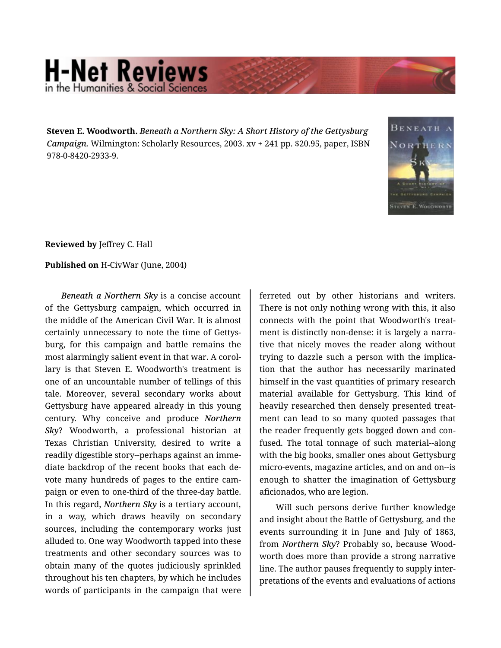## **H-Net Reviews** in the Humanities & Social Scie

**Steven E. Woodworth.** *Beneath a Northern Sky: A Short History of the Gettysburg Campaign.* Wilmington: Scholarly Resources, 2003. xv + 241 pp. \$20.95, paper, ISBN 978-0-8420-2933-9.



**Reviewed by** Jeffrey C. Hall

**Published on** H-CivWar (June, 2004)

*Beneath a Northern Sky* is a concise account of the Gettysburg campaign, which occurred in the middle of the American Civil War. It is almost certainly unnecessary to note the time of Gettys‐ burg, for this campaign and battle remains the most alarmingly salient event in that war. A corol‐ lary is that Steven E. Woodworth's treatment is one of an uncountable number of tellings of this tale. Moreover, several secondary works about Gettysburg have appeared already in this young century. Why conceive and produce *Northern Sky*? Woodworth, a professional historian at Texas Christian University, desired to write a readily digestible story--perhaps against an imme‐ diate backdrop of the recent books that each de‐ vote many hundreds of pages to the entire cam‐ paign or even to one-third of the three-day battle. In this regard, *Northern Sky* is a tertiary account, in a way, which draws heavily on secondary sources, including the contemporary works just alluded to. One way Woodworth tapped into these treatments and other secondary sources was to obtain many of the quotes judiciously sprinkled throughout his ten chapters, by which he includes words of participants in the campaign that were

ferreted out by other historians and writers. There is not only nothing wrong with this, it also connects with the point that Woodworth's treat‐ ment is distinctly non-dense: it is largely a narra‐ tive that nicely moves the reader along without trying to dazzle such a person with the implica‐ tion that the author has necessarily marinated himself in the vast quantities of primary research material available for Gettysburg. This kind of heavily researched then densely presented treat‐ ment can lead to so many quoted passages that the reader frequently gets bogged down and con‐ fused. The total tonnage of such material--along with the big books, smaller ones about Gettysburg micro-events, magazine articles, and on and on--is enough to shatter the imagination of Gettysburg aficionados, who are legion.

Will such persons derive further knowledge and insight about the Battle of Gettysburg, and the events surrounding it in June and July of 1863, from *Northern Sky*? Probably so, because Wood‐ worth does more than provide a strong narrative line. The author pauses frequently to supply inter‐ pretations of the events and evaluations of actions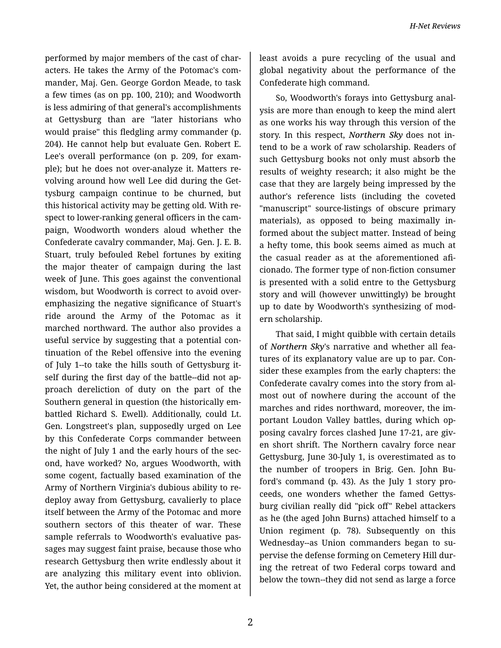performed by major members of the cast of char‐ acters. He takes the Army of the Potomac's com‐ mander, Maj. Gen. George Gordon Meade, to task a few times (as on pp. 100, 210); and Woodworth is less admiring of that general's accomplishments at Gettysburg than are "later historians who would praise" this fledgling army commander (p. 204). He cannot help but evaluate Gen. Robert E. Lee's overall performance (on p. 209, for exam‐ ple); but he does not over-analyze it. Matters re‐ volving around how well Lee did during the Get‐ tysburg campaign continue to be churned, but this historical activity may be getting old. With re‐ spect to lower-ranking general officers in the cam‐ paign, Woodworth wonders aloud whether the Confederate cavalry commander, Maj. Gen. J. E. B. Stuart, truly befouled Rebel fortunes by exiting the major theater of campaign during the last week of June. This goes against the conventional wisdom, but Woodworth is correct to avoid overemphasizing the negative significance of Stuart's ride around the Army of the Potomac as it marched northward. The author also provides a useful service by suggesting that a potential con‐ tinuation of the Rebel offensive into the evening of July 1--to take the hills south of Gettysburg it‐ self during the first day of the battle--did not ap‐ proach dereliction of duty on the part of the Southern general in question (the historically em‐ battled Richard S. Ewell). Additionally, could Lt. Gen. Longstreet's plan, supposedly urged on Lee by this Confederate Corps commander between the night of July 1 and the early hours of the sec‐ ond, have worked? No, argues Woodworth, with some cogent, factually based examination of the Army of Northern Virginia's dubious ability to re‐ deploy away from Gettysburg, cavalierly to place itself between the Army of the Potomac and more southern sectors of this theater of war. These sample referrals to Woodworth's evaluative pas‐ sages may suggest faint praise, because those who research Gettysburg then write endlessly about it are analyzing this military event into oblivion. Yet, the author being considered at the moment at

least avoids a pure recycling of the usual and global negativity about the performance of the Confederate high command.

So, Woodworth's forays into Gettysburg anal‐ ysis are more than enough to keep the mind alert as one works his way through this version of the story. In this respect, *Northern Sky* does not in‐ tend to be a work of raw scholarship. Readers of such Gettysburg books not only must absorb the results of weighty research; it also might be the case that they are largely being impressed by the author's reference lists (including the coveted "manuscript" source-listings of obscure primary materials), as opposed to being maximally in‐ formed about the subject matter. Instead of being a hefty tome, this book seems aimed as much at the casual reader as at the aforementioned afi‐ cionado. The former type of non-fiction consumer is presented with a solid entre to the Gettysburg story and will (however unwittingly) be brought up to date by Woodworth's synthesizing of mod‐ ern scholarship.

That said, I might quibble with certain details of *Northern Sky*'s narrative and whether all fea‐ tures of its explanatory value are up to par. Con‐ sider these examples from the early chapters: the Confederate cavalry comes into the story from al‐ most out of nowhere during the account of the marches and rides northward, moreover, the im‐ portant Loudon Valley battles, during which op‐ posing cavalry forces clashed June 17-21, are giv‐ en short shrift. The Northern cavalry force near Gettysburg, June 30-July 1, is overestimated as to the number of troopers in Brig. Gen. John Bu‐ ford's command (p. 43). As the July 1 story pro‐ ceeds, one wonders whether the famed Gettys‐ burg civilian really did "pick off" Rebel attackers as he (the aged John Burns) attached himself to a Union regiment (p. 78). Subsequently on this Wednesday--as Union commanders began to su‐ pervise the defense forming on Cemetery Hill dur‐ ing the retreat of two Federal corps toward and below the town--they did not send as large a force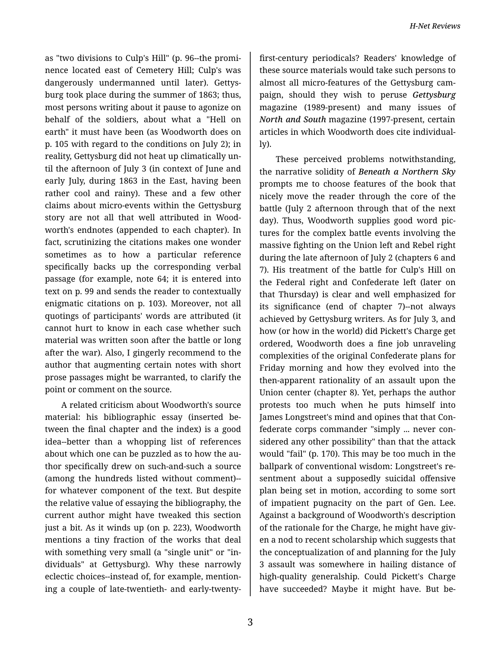as "two divisions to Culp's Hill" (p. 96--the promi‐ nence located east of Cemetery Hill; Culp's was dangerously undermanned until later). Gettys‐ burg took place during the summer of 1863; thus, most persons writing about it pause to agonize on behalf of the soldiers, about what a "Hell on earth" it must have been (as Woodworth does on p. 105 with regard to the conditions on July 2); in reality, Gettysburg did not heat up climatically un‐ til the afternoon of July 3 (in context of June and early July, during 1863 in the East, having been rather cool and rainy). These and a few other claims about micro-events within the Gettysburg story are not all that well attributed in Wood‐ worth's endnotes (appended to each chapter). In fact, scrutinizing the citations makes one wonder sometimes as to how a particular reference specifically backs up the corresponding verbal passage (for example, note 64; it is entered into text on p. 99 and sends the reader to contextually enigmatic citations on p. 103). Moreover, not all quotings of participants' words are attributed (it cannot hurt to know in each case whether such material was written soon after the battle or long after the war). Also, I gingerly recommend to the author that augmenting certain notes with short prose passages might be warranted, to clarify the point or comment on the source.

A related criticism about Woodworth's source material: his bibliographic essay (inserted be‐ tween the final chapter and the index) is a good idea--better than a whopping list of references about which one can be puzzled as to how the au‐ thor specifically drew on such-and-such a source (among the hundreds listed without comment)- for whatever component of the text. But despite the relative value of essaying the bibliography, the current author might have tweaked this section just a bit. As it winds up (on p. 223), Woodworth mentions a tiny fraction of the works that deal with something very small (a "single unit" or "in‐ dividuals" at Gettysburg). Why these narrowly eclectic choices--instead of, for example, mention‐ ing a couple of late-twentieth- and early-twenty-

first-century periodicals? Readers' knowledge of these source materials would take such persons to almost all micro-features of the Gettysburg cam‐ paign, should they wish to peruse *Gettysburg* magazine (1989-present) and many issues of *North and South* magazine (1997-present, certain articles in which Woodworth does cite individual‐ ly).

These perceived problems notwithstanding, the narrative solidity of *Beneath a Northern Sky* prompts me to choose features of the book that nicely move the reader through the core of the battle (July 2 afternoon through that of the next day). Thus, Woodworth supplies good word pic‐ tures for the complex battle events involving the massive fighting on the Union left and Rebel right during the late afternoon of July 2 (chapters 6 and 7). His treatment of the battle for Culp's Hill on the Federal right and Confederate left (later on that Thursday) is clear and well emphasized for its significance (end of chapter 7)--not always achieved by Gettysburg writers. As for July 3, and how (or how in the world) did Pickett's Charge get ordered, Woodworth does a fine job unraveling complexities of the original Confederate plans for Friday morning and how they evolved into the then-apparent rationality of an assault upon the Union center (chapter 8). Yet, perhaps the author protests too much when he puts himself into James Longstreet's mind and opines that that Con‐ federate corps commander "simply ... never con‐ sidered any other possibility" than that the attack would "fail" (p. 170). This may be too much in the ballpark of conventional wisdom: Longstreet's re‐ sentment about a supposedly suicidal offensive plan being set in motion, according to some sort of impatient pugnacity on the part of Gen. Lee. Against a background of Woodworth's description of the rationale for the Charge, he might have giv‐ en a nod to recent scholarship which suggests that the conceptualization of and planning for the July 3 assault was somewhere in hailing distance of high-quality generalship. Could Pickett's Charge have succeeded? Maybe it might have. But be‐

3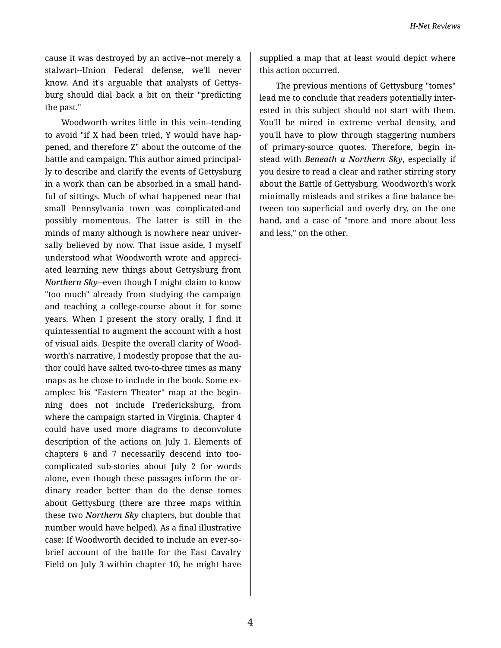cause it was destroyed by an active--not merely a stalwart--Union Federal defense, we'll never know. And it's arguable that analysts of Gettys‐ burg should dial back a bit on their "predicting the past."

Woodworth writes little in this vein--tending to avoid "if X had been tried, Y would have hap‐ pened, and therefore Z" about the outcome of the battle and campaign. This author aimed principal‐ ly to describe and clarify the events of Gettysburg in a work than can be absorbed in a small hand‐ ful of sittings. Much of what happened near that small Pennsylvania town was complicated-and possibly momentous. The latter is still in the minds of many although is nowhere near univer‐ sally believed by now. That issue aside, I myself understood what Woodworth wrote and appreci‐ ated learning new things about Gettysburg from *Northern Sky*--even though I might claim to know "too much" already from studying the campaign and teaching a college-course about it for some years. When I present the story orally, I find it quintessential to augment the account with a host of visual aids. Despite the overall clarity of Wood‐ worth's narrative, I modestly propose that the au‐ thor could have salted two-to-three times as many maps as he chose to include in the book. Some ex‐ amples: his "Eastern Theater" map at the begin‐ ning does not include Fredericksburg, from where the campaign started in Virginia. Chapter 4 could have used more diagrams to deconvolute description of the actions on July 1. Elements of chapters 6 and 7 necessarily descend into toocomplicated sub-stories about July 2 for words alone, even though these passages inform the or‐ dinary reader better than do the dense tomes about Gettysburg (there are three maps within these two *Northern Sky* chapters, but double that number would have helped). As a final illustrative case: If Woodworth decided to include an ever-sobrief account of the battle for the East Cavalry Field on July 3 within chapter 10, he might have

supplied a map that at least would depict where this action occurred.

The previous mentions of Gettysburg "tomes" lead me to conclude that readers potentially inter‐ ested in this subject should not start with them. You'll be mired in extreme verbal density, and you'll have to plow through staggering numbers of primary-source quotes. Therefore, begin in‐ stead with *Beneath a Northern Sky*, especially if you desire to read a clear and rather stirring story about the Battle of Gettysburg. Woodworth's work minimally misleads and strikes a fine balance be‐ tween too superficial and overly dry, on the one hand, and a case of "more and more about less and less," on the other.